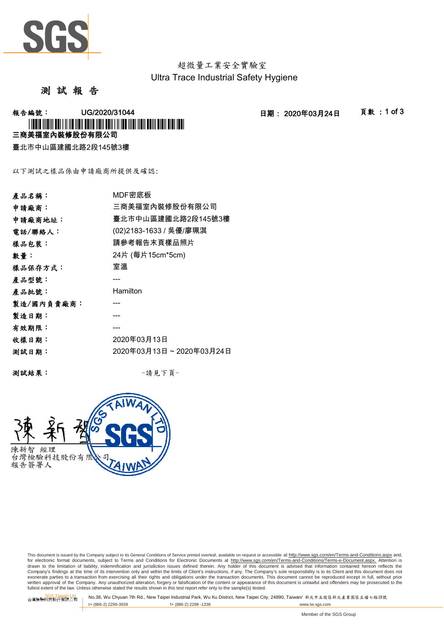

超微量工業安全實驗室 Ultra Trace Industrial Safety Hygiene

測 試 報 告

-<br>報告編號: UG/2020/31044 日期: 2020年03月24日 頁數:1 of 3 三商美福室內裝修股份有限公司 \* I TO OFFICE THE INTERFERENCE IN THE USE OF THE THE USE OF THE USE OF THE USE OF THE USE OF THE USE OF THE US

臺北市中山區建國北路2段145號3樓

以下測試之樣品係由申請廠商所提供及確認:

| 產品名稱:      | MDF密底板                  |
|------------|-------------------------|
| 申請廠商:      | 三商美福室內裝修股份有限公司          |
| 申請廠商地址:    | 臺北市中山區建國北路2段145號3樓      |
| 電話/聯絡人:    | (02)2183-1633 / 吳優/廖珮淇  |
| 樣品包裝:      | 請參考報告末頁樣品照片             |
| 數量:        | 24片 (每片15cm*5cm)        |
| 樣品保存方式:    | 室溫                      |
| 產品型號:      |                         |
| 產品批號:      | Hamilton                |
| 製造/國內負責廠商: |                         |
| 製造日期:      |                         |
| 有效期限:      |                         |
| 收樣日期:      | 2020年03月13日             |
| 測試日期:      | 2020年03月13日~2020年03月24日 |
|            |                         |

測試結果: -請見下頁-



This document is issued by the Company subject to its General Conditions of Service printed overleaf, available on request or accessible at http://www.sgs.com/en/Terms-and-Conditions.aspx and, for electronic format documents, subject to Terms and Conditions for Electronic Documents at <u>http://www.sqs.com/en/Terms-and-Conditions/Terms-e-Document.aspx.</u> Attention is<br>drawn to the limitation of liability, indemnific exonerate parties to a transaction from exercising all their rights and obligations under the transaction documents. This document cannot be reproduced except in full, without prior prior<br>written approval of the Company. A

SGS Taiwan Ltd. No.38, Wu Chyuan 7th Rd., New Taipei Industrial Park, Wu Ku District, New Taipei City, 24890, Taiwan/ 新北市五股區新北產業園區五權七路38號<br>| t+ (886-2) 2299-3939 f+ (886-2) 2298 -1338 www.tw. t+ (886-2) 2299-3939 f+ (886-2) 2298 -1338 www.tw.sgs.com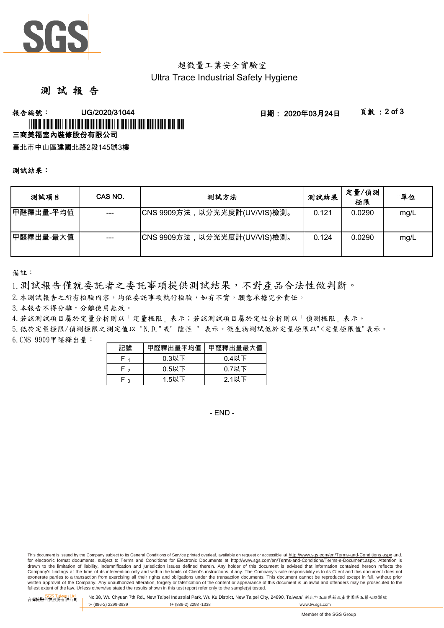

# 超微量工業安全實驗室 Ultra Trace Industrial Safety Hygiene

# 測 試 報 告

### **報告編號: UG/2020/31044 - 2020年03月24日 - 夏敦:2 of 3** 三商美福室內裝修股份有限公司 \*UGCA AND AN TALLAR ADALDER ADALDER ADALDER ADALDER ADALDER ADALDER ADALDE

臺北市中山區建國北路2段145號3樓

#### 測試結果:

| 测試項目       | CAS NO. | 测試方法                         | 测試結果  | 定量/偵測<br>極限 | 單位   |
|------------|---------|------------------------------|-------|-------------|------|
| ┃甲醛釋出量-平均值 | $---$   | CNS 9909方法,以分光光度計(UV/VIS)檢測。 | 0.121 | 0.0290      | mg/L |
| 甲醛釋出量-最大值  |         | CNS 9909方法,以分光光度計(UV/VIS)檢測。 | 0.124 | 0.0290      | mg/L |

備註:

1.測試報告僅就委託者之委託事項提供測試結果,不對產品合法性做判斷。

2.本測試報告之所有檢驗內容,均依委託事項執行檢驗,如有不實,願意承擔完全責任。

3.本報告不得分離,分離使用無效。

4.若該測試項目屬於定量分析則以「定量極限」表示;若該測試項目屬於定性分析則以「偵測極限」表示。

6.CNS 9909甲醛釋出量: 5.低於定量極限/偵測極限之測定值以 "N.D."或" 陰性 " 表示。微生物測試低於定量極限以"<定量極限值"表示。

| 記號   | 甲醛釋出量平均值 | 甲醛釋出量最大值 |  |  |
|------|----------|----------|--|--|
|      | $0.3$ 以下 | $0.4$ 以下 |  |  |
| r 2  | $0.5$ 以下 | $0.7$ 以下 |  |  |
| ه ۱۳ | $1.5$ 以下 | 2.1以下    |  |  |

- END -

This document is issued by the Company subject to its General Conditions of Service printed overleaf, available on request or accessible at http://www.sgs.com/en/Terms-and-Conditions.aspx and, for electronic format documents, subject to Terms and Conditions for Electronic Documents at http://www.sgs.com/en/Terms-and-Conditions/Terms-e-Document.aspx. Attention is drawn to the limitation of liability, indemnification and jurisdiction issues defined therein. Any holder of this document is advised that information contained hereon reflects the<br>Company's findings at the time of its int exonerate parties to a transaction from exercising all their rights and obligations under the transaction documents. This document cannot be reproduced except in full, without prior written approval of the Company. Any unauthorized alteration, forgery or falsification of the content or appearance of this document is unlawful and offenders may be prosecuted to the<br>fullest extent of the law. Unless othe